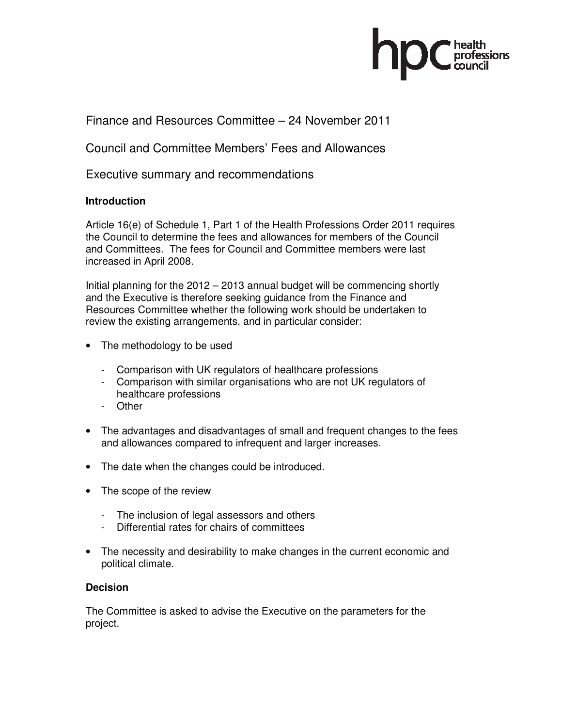

## Finance and Resources Committee – 24 November 2011

Council and Committee Members' Fees and Allowances

Executive summary and recommendations

## **Introduction**

Article 16(e) of Schedule 1, Part 1 of the Health Professions Order 2011 requires the Council to determine the fees and allowances for members of the Council and Committees. The fees for Council and Committee members were last increased in April 2008.

Initial planning for the 2012 – 2013 annual budget will be commencing shortly and the Executive is therefore seeking guidance from the Finance and Resources Committee whether the following work should be undertaken to review the existing arrangements, and in particular consider:

- The methodology to be used
	- Comparison with UK regulators of healthcare professions
	- Comparison with similar organisations who are not UK regulators of healthcare professions
	- Other
- The advantages and disadvantages of small and frequent changes to the fees and allowances compared to infrequent and larger increases.
- The date when the changes could be introduced.
- The scope of the review
	- The inclusion of legal assessors and others
	- Differential rates for chairs of committees
- The necessity and desirability to make changes in the current economic and political climate.

## **Decision**

The Committee is asked to advise the Executive on the parameters for the project.